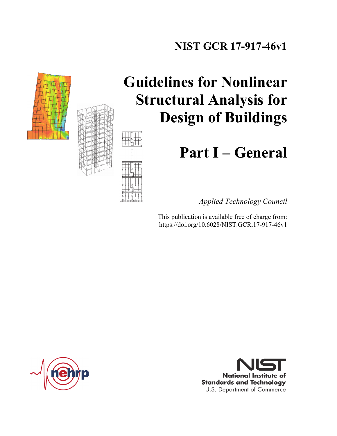## **NIST GCR 17-917-46v1**



# **Guidelines for Nonlinear Structural Analysis for Design of Buildings**

# **Part I – General**

*Applied Technology Council* 

This publication is available free of charge from: https://doi.org/10.6028/NIST.GCR.17-917-46v1



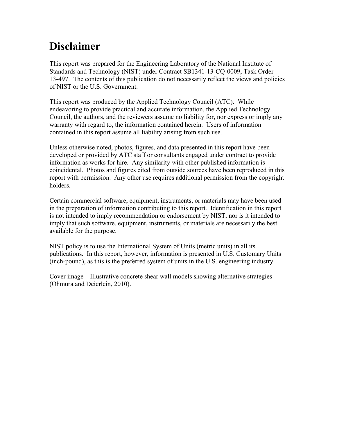## **Disclaimer**

This report was prepared for the Engineering Laboratory of the National Institute of Standards and Technology (NIST) under Contract SB1341-13-CQ-0009, Task Order 13-497. The contents of this publication do not necessarily reflect the views and policies of NIST or the U.S. Government.

This report was produced by the Applied Technology Council (ATC). While endeavoring to provide practical and accurate information, the Applied Technology Council, the authors, and the reviewers assume no liability for, nor express or imply any warranty with regard to, the information contained herein. Users of information contained in this report assume all liability arising from such use.

Unless otherwise noted, photos, figures, and data presented in this report have been developed or provided by ATC staff or consultants engaged under contract to provide information as works for hire. Any similarity with other published information is coincidental. Photos and figures cited from outside sources have been reproduced in this report with permission. Any other use requires additional permission from the copyright holders.

Certain commercial software, equipment, instruments, or materials may have been used in the preparation of information contributing to this report. Identification in this report is not intended to imply recommendation or endorsement by NIST, nor is it intended to imply that such software, equipment, instruments, or materials are necessarily the best available for the purpose.

NIST policy is to use the International System of Units (metric units) in all its publications. In this report, however, information is presented in U.S. Customary Units (inch-pound), as this is the preferred system of units in the U.S. engineering industry.

Cover image – Illustrative concrete shear wall models showing alternative strategies (Ohmura and Deierlein, 2010).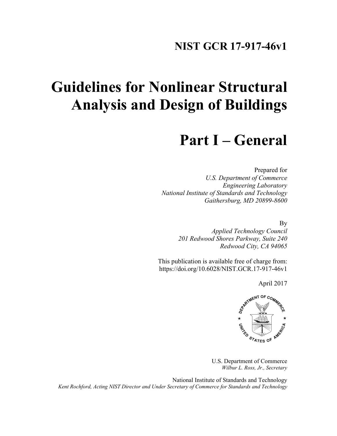### **NIST GCR 17-917-46v1**

# **Guidelines for Nonlinear Structural Analysis and Design of Buildings**

## **Part I – General**

Prepared for *U.S. Department of Commerce Engineering Laboratory National Institute of Standards and Technology Gaithersburg, MD 20899-8600* 

By

*Applied Technology Council 201 Redwood Shores Parkway, Suite 240 Redwood City, CA 94065* 

This publication is available free of charge from: https://doi.org/10.6028/NIST.GCR.17-917-46v1

April 2017



U.S. Department of Commerce *Wilbur L. Ross, Jr., Secretary* 

National Institute of Standards and Technology *Kent Rochford, Acting NIST Director and Under Secretary of Commerce for Standards and Technology*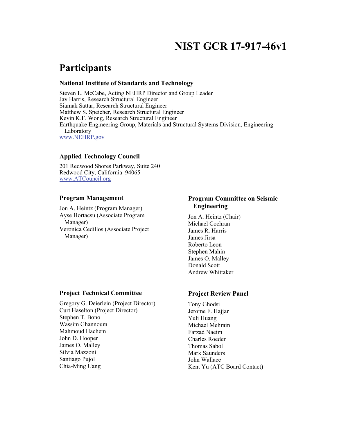## **NIST GCR 17-917-46v1**

### **Participants**

#### **National Institute of Standards and Technology**

Steven L. McCabe, Acting NEHRP Director and Group Leader Jay Harris, Research Structural Engineer Siamak Sattar, Research Structural Engineer Matthew S. Speicher, Research Structural Engineer Kevin K.F. Wong, Research Structural Engineer Earthquake Engineering Group, Materials and Structural Systems Division, Engineering Laboratory www.NEHRP.gov

#### **Applied Technology Council**

201 Redwood Shores Parkway, Suite 240 Redwood City, California 94065 www.ATCouncil.org

#### **Program Management**

Jon A. Heintz (Program Manager) Ayse Hortacsu (Associate Program Manager) Veronica Cedillos (Associate Project Manager)

#### **Program Committee on Seismic Engineering**

Jon A. Heintz (Chair) Michael Cochran James R. Harris James Jirsa Roberto Leon Stephen Mahin James O. Malley Donald Scott Andrew Whittaker

#### **Project Technical Committee**

Gregory G. Deierlein (Project Director) Curt Haselton (Project Director) Stephen T. Bono Wassim Ghannoum Mahmoud Hachem John D. Hooper James O. Malley Silvia Mazzoni Santiago Pujol Chia-Ming Uang

#### **Project Review Panel**

Tony Ghodsi Jerome F. Hajjar Yuli Huang Michael Mehrain Farzad Naeim Charles Roeder Thomas Sabol Mark Saunders John Wallace Kent Yu (ATC Board Contact)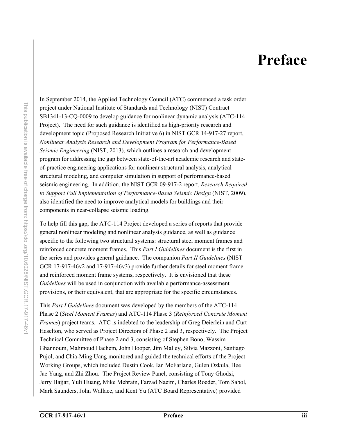## **Preface**

In September 2014, the Applied Technology Council (ATC) commenced a task order project under National Institute of Standards and Technology (NIST) Contract SB1341-13-CQ-0009 to develop guidance for nonlinear dynamic analysis (ATC-114 Project). The need for such guidance is identified as high-priority research and development topic (Proposed Research Initiative 6) in NIST GCR 14-917-27 report, *Nonlinear Analysis Research and Development Program for Performance-Based Seismic Engineering* (NIST, 2013), which outlines a research and development program for addressing the gap between state-of-the-art academic research and stateof-practice engineering applications for nonlinear structural analysis, analytical structural modeling, and computer simulation in support of performance-based seismic engineering. In addition, the NIST GCR 09-917-2 report, *Research Required to Support Full Implementation of Performance-Based Seismic Design* (NIST, 2009), also identified the need to improve analytical models for buildings and their components in near-collapse seismic loading.

To help fill this gap, the ATC-114 Project developed a series of reports that provide general nonlinear modeling and nonlinear analysis guidance, as well as guidance specific to the following two structural systems: structural steel moment frames and reinforced concrete moment frames. This *Part I Guidelines* document is the first in the series and provides general guidance. The companion *Part II Guidelines* (NIST GCR 17-917-46v2 and 17-917-46v3) provide further details for steel moment frame and reinforced moment frame systems, respectively. It is envisioned that these *Guidelines* will be used in conjunction with available performance-assessment provisions, or their equivalent, that are appropriate for the specific circumstances.

This *Part I Guidelines* document was developed by the members of the ATC-114 Phase 2 (*Steel Moment Frames*) and ATC-114 Phase 3 (*Reinforced Concrete Moment Frames*) project teams. ATC is indebted to the leadership of Greg Deierlein and Curt Haselton, who served as Project Directors of Phase 2 and 3, respectively. The Project Technical Committee of Phase 2 and 3, consisting of Stephen Bono, Wassim Ghannoum, Mahmoud Hachem, John Hooper, Jim Malley, Silvia Mazzoni, Santiago Pujol, and Chia-Ming Uang monitored and guided the technical efforts of the Project Working Groups, which included Dustin Cook, Ian McFarlane, Gulen Ozkula, Hee Jae Yang, and Zhi Zhou. The Project Review Panel, consisting of Tony Ghodsi, Jerry Hajjar, Yuli Huang, Mike Mehrain, Farzad Naeim, Charles Roeder, Tom Sabol, Mark Saunders, John Wallace, and Kent Yu (ATC Board Representative) provided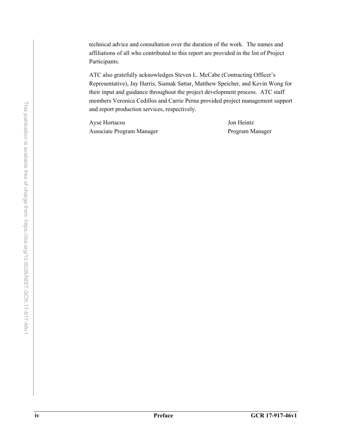technical advice and consultation over the duration of the work. The names and affiliations of all who contributed to this report are provided in the list of Project Participants.

ATC also gratefully acknowledges Steven L. McCabe (Contracting Officer's Representative), Jay Harris, Siamak Sattar, Matthew Speicher, and Kevin Wong for their input and guidance throughout the project development process. ATC staff members Veronica Cedillos and Carrie Perna provided project management support and report production services, respectively.

Ayse Hortacsu Jon Heintz Associate Program Manager Program Manager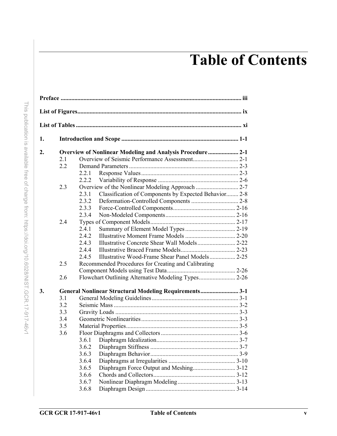# **Table of Contents**

| 1. |     |                                                                  |  |  |  |  |
|----|-----|------------------------------------------------------------------|--|--|--|--|
| 2. |     | <b>Overview of Nonlinear Modeling and Analysis Procedure 2-1</b> |  |  |  |  |
|    | 2.1 |                                                                  |  |  |  |  |
|    | 2.2 |                                                                  |  |  |  |  |
|    |     | 2.2.1                                                            |  |  |  |  |
|    |     | 2.2.2                                                            |  |  |  |  |
|    | 2.3 |                                                                  |  |  |  |  |
|    |     | Classification of Components by Expected Behavior 2-8<br>2.3.1   |  |  |  |  |
|    |     | 2.3.2                                                            |  |  |  |  |
|    |     | 2.3.3                                                            |  |  |  |  |
|    |     | 2.3.4                                                            |  |  |  |  |
|    | 2.4 |                                                                  |  |  |  |  |
|    |     | 2.4.1                                                            |  |  |  |  |
|    |     | 2.4.2                                                            |  |  |  |  |
|    |     | 2.4.3                                                            |  |  |  |  |
|    |     | 2.4.4                                                            |  |  |  |  |
|    |     | 2.4.5<br>Illustrative Wood-Frame Shear Panel Models 2-25         |  |  |  |  |
|    | 2.5 | Recommended Procedures for Creating and Calibrating              |  |  |  |  |
|    |     |                                                                  |  |  |  |  |
|    | 2.6 |                                                                  |  |  |  |  |
| 3. |     | General Nonlinear Structural Modeling Requirements 3-1           |  |  |  |  |
|    | 3.1 |                                                                  |  |  |  |  |
|    | 3.2 |                                                                  |  |  |  |  |
|    | 3.3 |                                                                  |  |  |  |  |
|    | 3.4 |                                                                  |  |  |  |  |
|    | 3.5 |                                                                  |  |  |  |  |
|    | 3.6 |                                                                  |  |  |  |  |
|    |     | 3.6.1                                                            |  |  |  |  |
|    |     | 3.6.2                                                            |  |  |  |  |
|    |     | 3.6.3                                                            |  |  |  |  |
|    |     | 3.6.4                                                            |  |  |  |  |
|    |     | Diaphragm Force Output and Meshing3-12<br>3.6.5                  |  |  |  |  |
|    |     | 3.6.6                                                            |  |  |  |  |
|    |     | 3.6.7                                                            |  |  |  |  |
|    |     | 3.6.8                                                            |  |  |  |  |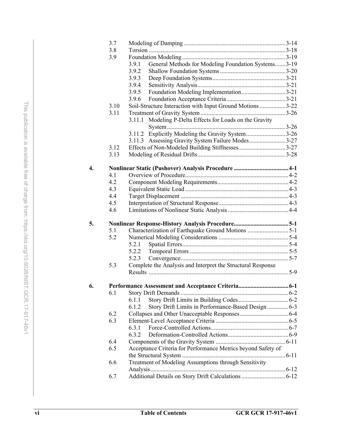|    | 3.7  |                                                              |     |
|----|------|--------------------------------------------------------------|-----|
|    | 3.8  |                                                              |     |
|    | 3.9  |                                                              |     |
|    |      | General Methods for Modeling Foundation Systems3-19<br>3.9.1 |     |
|    |      | 3.9.2                                                        |     |
|    |      | 3.9.3                                                        |     |
|    |      | 3.9.4                                                        |     |
|    |      | 3.9.5<br>Foundation Modeling Implementation3-21              |     |
|    |      | 3.9.6                                                        |     |
|    | 3.10 | Soil-Structure Interaction with Input Ground Motions 3-22    |     |
|    | 3.11 |                                                              |     |
|    |      | Modeling P-Delta Effects for Loads on the Gravity<br>3.11.1  |     |
|    |      |                                                              |     |
|    |      | 3.11.2 Explicitly Modeling the Gravity System3-26            |     |
|    |      | 3.11.3 Assessing Gravity System Failure Modes3-27            |     |
|    | 3.12 |                                                              |     |
|    | 3.13 |                                                              |     |
|    |      |                                                              |     |
| 4. |      |                                                              |     |
|    | 4.1  |                                                              |     |
|    | 4.2  |                                                              |     |
|    | 4.3  |                                                              |     |
|    | 4.4  |                                                              |     |
|    | 4.5  |                                                              |     |
|    | 4.6  |                                                              |     |
|    |      |                                                              |     |
| 5. |      |                                                              |     |
|    | 5.1  | Characterization of Earthquake Ground Motions 5-1            |     |
|    | 5.2  |                                                              |     |
|    |      | 5.2.1                                                        |     |
|    |      | 5.2.2                                                        |     |
|    |      | 5.2.3                                                        |     |
|    | 5.3  | Complete the Analysis and Interpret the Structural Response  |     |
|    |      |                                                              |     |
|    |      |                                                              |     |
| 6. |      | Performance Assessment and Acceptance Criteria               | 6-1 |
|    | 6.1  |                                                              |     |
|    |      | 6.1.1                                                        |     |
|    |      | 6.1.2<br>Story Drift Limits in Performance-Based Design  6-3 |     |
|    | 6.2  |                                                              |     |
|    | 6.3  |                                                              |     |
|    |      | 6.3.1                                                        |     |
|    |      | 6.3.2                                                        |     |
|    | 6.4  |                                                              |     |
|    | 6.5  | Acceptance Criteria for Performance Metrics beyond Safety of |     |
|    |      |                                                              |     |
|    | 6.6  | Treatment of Modeling Assumptions through Sensitivity        |     |
|    |      |                                                              |     |
|    | 6.7  |                                                              |     |